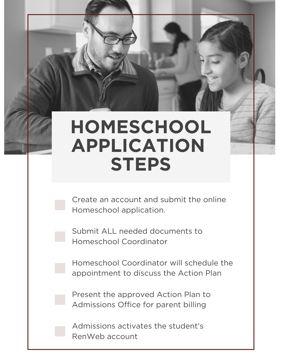## **HOMESCHOOL APPLICATION STEPS**

Create an account and submit the online Homeschool application.

Submit ALL needed documents to Homeschool Coordinator

Homeschool Coordinator will schedule the appointment to discuss the Action Plan

Present the approved Action Plan to Admissions Office for parent billing

Admissions activates the student's RenWeb account